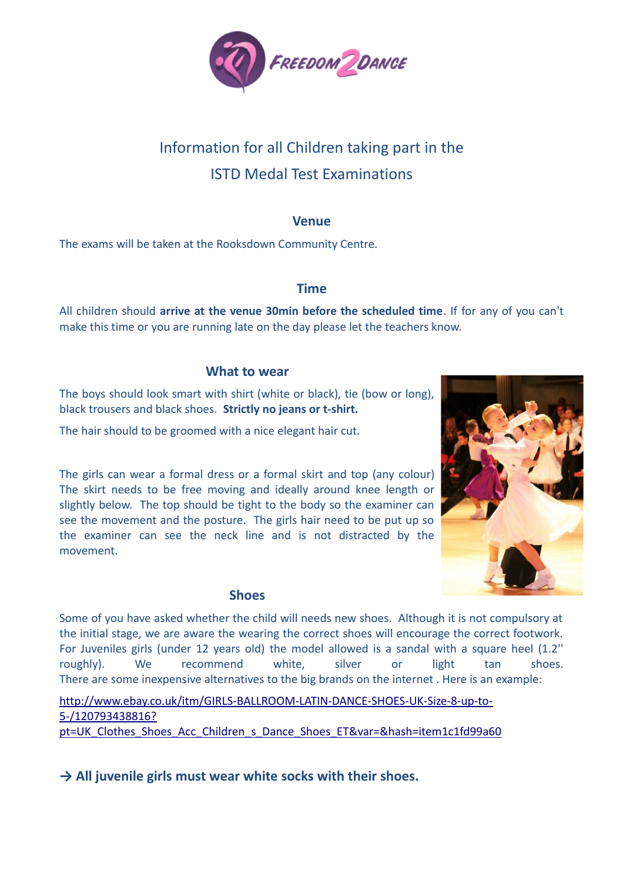

# Information for all Children taking part in the ISTD Medal Test Examinations

## **Venue**

The exams will be taken at the Rooksdown Community Centre.

# **Time**

All children should **arrive at the venue 30min before the scheduled time**. If for any of you can't make this time or you are running late on the day please let the teachers know.

## **What to wear**

The boys should look smart with shirt (white or black), tie (bow or long), black trousers and black shoes. **Strictly no jeans or t-shirt.**

The hair should to be groomed with a nice elegant hair cut.

The girls can wear a formal dress or a formal skirt and top (any colour) The skirt needs to be free moving and ideally around knee length or slightly below. The top should be tight to the body so the examiner can see the movement and the posture. The girls hair need to be put up so the examiner can see the neck line and is not distracted by the movement.

#### **Shoes**



Some of you have asked whether the child will needs new shoes. Although it is not compulsory at the initial stage, we are aware the wearing the correct shoes will encourage the correct footwork. For Juveniles girls (under 12 years old) the model allowed is a sandal with a square heel (1.2'' roughly). We recommend white, silver or light tan shoes. There are some inexpensive alternatives to the big brands on the internet . Here is an example:

[http://www.ebay.co.uk/itm/GIRLS-BALLROOM-LATIN-DANCE-SHOES-UK-Size-8-up-to-](http://www.ebay.co.uk/itm/GIRLS-BALLROOM-LATIN-DANCE-SHOES-UK-Size-8-up-to-5-/120793438816?pt=UK_Clothes_Shoes_Acc_Children_s_Dance_Shoes_ET&var=&hash=item1c1fd99a60)[5-/120793438816?](http://www.ebay.co.uk/itm/GIRLS-BALLROOM-LATIN-DANCE-SHOES-UK-Size-8-up-to-5-/120793438816?pt=UK_Clothes_Shoes_Acc_Children_s_Dance_Shoes_ET&var=&hash=item1c1fd99a60) [pt=UK\\_Clothes\\_Shoes\\_Acc\\_Children\\_s\\_Dance\\_Shoes\\_ET&var=&hash=item1c1fd99a60](http://www.ebay.co.uk/itm/GIRLS-BALLROOM-LATIN-DANCE-SHOES-UK-Size-8-up-to-5-/120793438816?pt=UK_Clothes_Shoes_Acc_Children_s_Dance_Shoes_ET&var=&hash=item1c1fd99a60)

**→ All juvenile girls must wear white socks with their shoes.**